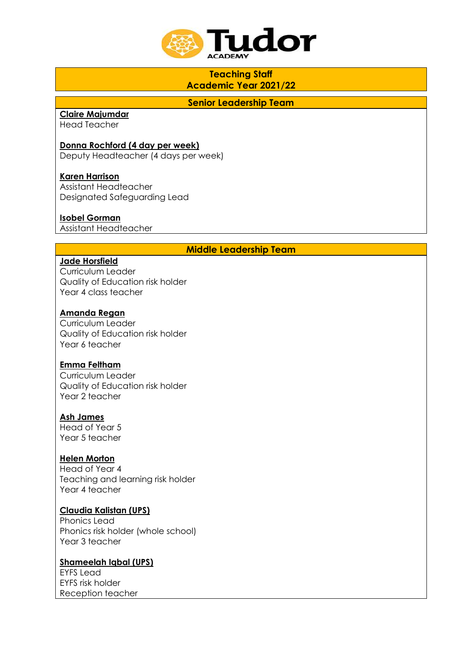

# **Teaching Staff Academic Year 2021/22**

**Senior Leadership Team**

# **Claire Majumdar**

Head Teacher

## **Donna Rochford (4 day per week)**

Deputy Headteacher (4 days per week)

### **Karen Harrison**

Assistant Headteacher Designated Safeguarding Lead

## **Isobel Gorman**

Assistant Headteacher

## **Middle Leadership Team**

## **Jade Horsfield**

Curriculum Leader Quality of Education risk holder Year 4 class teacher

### **Amanda Regan**

Curriculum Leader Quality of Education risk holder Year 6 teacher

#### **Emma Feltham**

Curriculum Leader Quality of Education risk holder Year 2 teacher

#### **Ash James**

Head of Year 5 Year 5 teacher

## **Helen Morton**

Head of Year 4 Teaching and learning risk holder Year 4 teacher

#### **Claudia Kalistan (UPS)**

Phonics Lead Phonics risk holder (whole school) Year 3 teacher

## **Shameelah Iqbal (UPS)**

EYFS Lead EYFS risk holder Reception teacher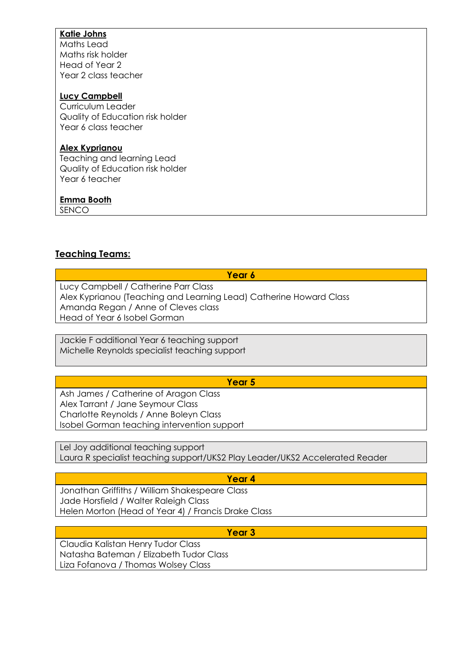## **Katie Johns**

Maths Lead Maths risk holder Head of Year 2 Year 2 class teacher

## **Lucy Campbell**

Curriculum Leader Quality of Education risk holder Year 6 class teacher

## **Alex Kyprianou**

Teaching and learning Lead Quality of Education risk holder Year 6 teacher

## **Emma Booth**

SENCO

## **Teaching Teams:**

**Year 6**

Lucy Campbell / Catherine Parr Class Alex Kyprianou (Teaching and Learning Lead) Catherine Howard Class Amanda Regan / Anne of Cleves class Head of Year 6 Isobel Gorman

Jackie F additional Year 6 teaching support Michelle Reynolds specialist teaching support

## **Year 5**

Ash James / Catherine of Aragon Class Alex Tarrant / Jane Seymour Class Charlotte Reynolds / Anne Boleyn Class Isobel Gorman teaching intervention support

Lel Joy additional teaching support Laura R specialist teaching support/UKS2 Play Leader/UKS2 Accelerated Reader

## **Year 4**

Jonathan Griffiths / William Shakespeare Class Jade Horsfield / Walter Raleigh Class Helen Morton (Head of Year 4) / Francis Drake Class

**Year 3**

Claudia Kalistan Henry Tudor Class Natasha Bateman / Elizabeth Tudor Class Liza Fofanova / Thomas Wolsey Class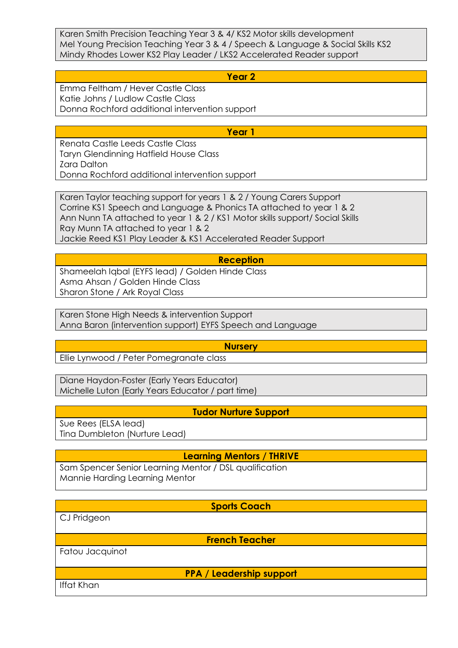Karen Smith Precision Teaching Year 3 & 4/ KS2 Motor skills development Mel Young Precision Teaching Year 3 & 4 / Speech & Language & Social Skills KS2 Mindy Rhodes Lower KS2 Play Leader / LKS2 Accelerated Reader support

**Year 2**

Emma Feltham / Hever Castle Class Katie Johns / Ludlow Castle Class Donna Rochford additional intervention support

**Year 1**

Renata Castle Leeds Castle Class Taryn Glendinning Hatfield House Class Zara Dalton Donna Rochford additional intervention support

Karen Taylor teaching support for years 1 & 2 / Young Carers Support Corrine KS1 Speech and Language & Phonics TA attached to year 1 & 2 Ann Nunn TA attached to year 1 & 2 / KS1 Motor skills support/ Social Skills Ray Munn TA attached to year 1 & 2 Jackie Reed KS1 Play Leader & KS1 Accelerated Reader Support

#### **Reception**

Shameelah Iqbal (EYFS lead) / Golden Hinde Class Asma Ahsan / Golden Hinde Class Sharon Stone / Ark Royal Class

Karen Stone High Needs & intervention Support Anna Baron (intervention support) EYFS Speech and Language

**Nursery**

Ellie Lynwood / Peter Pomegranate class

Diane Haydon-Foster (Early Years Educator) Michelle Luton (Early Years Educator / part time)

**Tudor Nurture Support**

Sue Rees (ELSA lead) Tina Dumbleton (Nurture Lead)

**Learning Mentors / THRIVE**

Sam Spencer Senior Learning Mentor / DSL qualification Mannie Harding Learning Mentor

**Sports Coach** CJ Pridgeon **French Teacher** Fatou Jacquinot **PPA / Leadership support** Iffat Khan